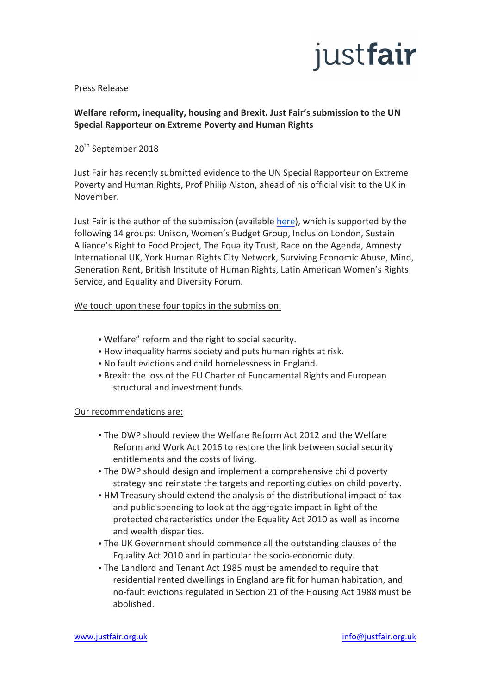# justfair

Press Release

# Welfare reform, inequality, housing and Brexit. Just Fair's submission to the UN **Special Rapporteur on Extreme Poverty and Human Rights**

20<sup>th</sup> September 2018

Just Fair has recently submitted evidence to the UN Special Rapporteur on Extreme Poverty and Human Rights, Prof Philip Alston, ahead of his official visit to the UK in November.

Just Fair is the author of the submission (available here), which is supported by the following 14 groups: Unison, Women's Budget Group, Inclusion London, Sustain Alliance's Right to Food Project, The Equality Trust, Race on the Agenda, Amnesty International UK, York Human Rights City Network, Surviving Economic Abuse, Mind, Generation Rent, British Institute of Human Rights, Latin American Women's Rights Service, and Equality and Diversity Forum.

## We touch upon these four topics in the submission:

- Welfare" reform and the right to social security.
- How inequality harms society and puts human rights at risk.
- No fault evictions and child homelessness in England.
- Brexit: the loss of the EU Charter of Fundamental Rights and European structural and investment funds.

### Our recommendations are:

- The DWP should review the Welfare Reform Act 2012 and the Welfare Reform and Work Act 2016 to restore the link between social security entitlements and the costs of living.
- The DWP should design and implement a comprehensive child poverty strategy and reinstate the targets and reporting duties on child poverty.
- HM Treasury should extend the analysis of the distributional impact of tax and public spending to look at the aggregate impact in light of the protected characteristics under the Equality Act 2010 as well as income and wealth disparities.
- The UK Government should commence all the outstanding clauses of the Equality Act 2010 and in particular the socio-economic duty.
- The Landlord and Tenant Act 1985 must be amended to require that residential rented dwellings in England are fit for human habitation, and no-fault evictions regulated in Section 21 of the Housing Act 1988 must be abolished.